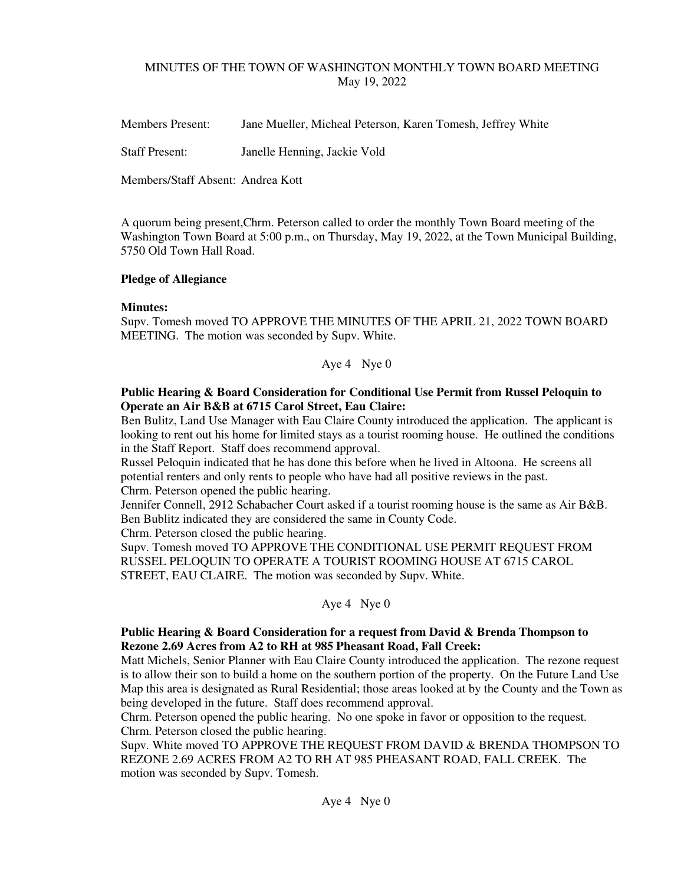# MINUTES OF THE TOWN OF WASHINGTON MONTHLY TOWN BOARD MEETING May 19, 2022

Members Present: Jane Mueller, Micheal Peterson, Karen Tomesh, Jeffrey White

Staff Present: Janelle Henning, Jackie Vold

Members/Staff Absent: Andrea Kott

A quorum being present,Chrm. Peterson called to order the monthly Town Board meeting of the Washington Town Board at 5:00 p.m., on Thursday, May 19, 2022, at the Town Municipal Building, 5750 Old Town Hall Road.

## **Pledge of Allegiance**

## **Minutes:**

Supv. Tomesh moved TO APPROVE THE MINUTES OF THE APRIL 21, 2022 TOWN BOARD MEETING. The motion was seconded by Supv. White.

Aye 4 Nye 0

## **Public Hearing & Board Consideration for Conditional Use Permit from Russel Peloquin to Operate an Air B&B at 6715 Carol Street, Eau Claire:**

Ben Bulitz, Land Use Manager with Eau Claire County introduced the application. The applicant is looking to rent out his home for limited stays as a tourist rooming house. He outlined the conditions in the Staff Report. Staff does recommend approval.

Russel Peloquin indicated that he has done this before when he lived in Altoona. He screens all potential renters and only rents to people who have had all positive reviews in the past. Chrm. Peterson opened the public hearing.

Jennifer Connell, 2912 Schabacher Court asked if a tourist rooming house is the same as Air B&B. Ben Bublitz indicated they are considered the same in County Code.

Chrm. Peterson closed the public hearing.

Supv. Tomesh moved TO APPROVE THE CONDITIONAL USE PERMIT REQUEST FROM RUSSEL PELOQUIN TO OPERATE A TOURIST ROOMING HOUSE AT 6715 CAROL STREET, EAU CLAIRE. The motion was seconded by Supv. White.

Aye 4 Nye 0

# **Public Hearing & Board Consideration for a request from David & Brenda Thompson to Rezone 2.69 Acres from A2 to RH at 985 Pheasant Road, Fall Creek:**

Matt Michels, Senior Planner with Eau Claire County introduced the application. The rezone request is to allow their son to build a home on the southern portion of the property. On the Future Land Use Map this area is designated as Rural Residential; those areas looked at by the County and the Town as being developed in the future. Staff does recommend approval.

Chrm. Peterson opened the public hearing. No one spoke in favor or opposition to the request. Chrm. Peterson closed the public hearing.

Supv. White moved TO APPROVE THE REQUEST FROM DAVID & BRENDA THOMPSON TO REZONE 2.69 ACRES FROM A2 TO RH AT 985 PHEASANT ROAD, FALL CREEK. The motion was seconded by Supv. Tomesh.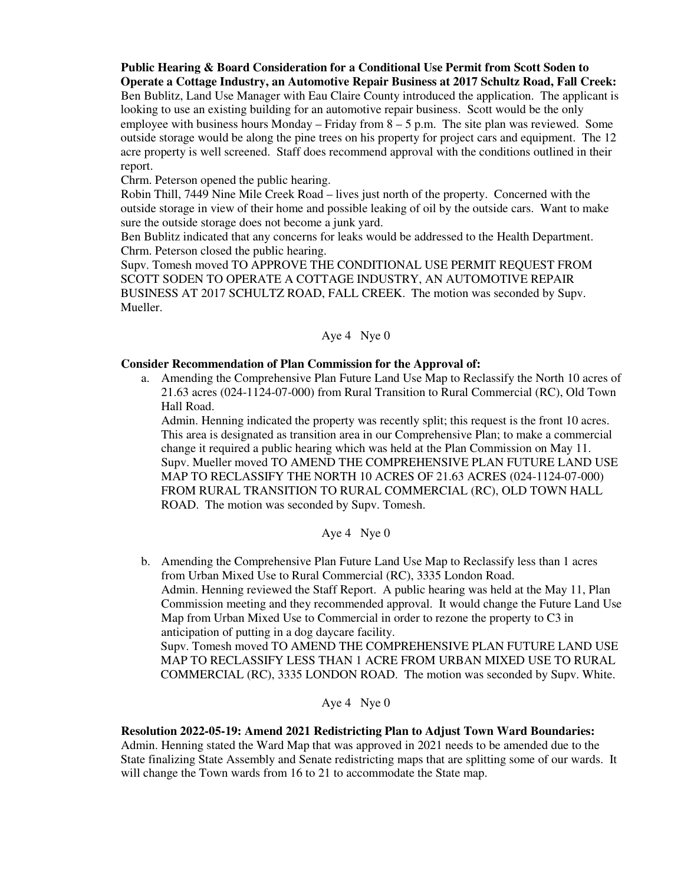**Public Hearing & Board Consideration for a Conditional Use Permit from Scott Soden to Operate a Cottage Industry, an Automotive Repair Business at 2017 Schultz Road, Fall Creek:** 

Ben Bublitz, Land Use Manager with Eau Claire County introduced the application. The applicant is looking to use an existing building for an automotive repair business. Scott would be the only employee with business hours Monday – Friday from  $8 - 5$  p.m. The site plan was reviewed. Some outside storage would be along the pine trees on his property for project cars and equipment. The 12 acre property is well screened. Staff does recommend approval with the conditions outlined in their report.

Chrm. Peterson opened the public hearing.

Robin Thill, 7449 Nine Mile Creek Road – lives just north of the property. Concerned with the outside storage in view of their home and possible leaking of oil by the outside cars. Want to make sure the outside storage does not become a junk yard.

Ben Bublitz indicated that any concerns for leaks would be addressed to the Health Department. Chrm. Peterson closed the public hearing.

Supv. Tomesh moved TO APPROVE THE CONDITIONAL USE PERMIT REQUEST FROM SCOTT SODEN TO OPERATE A COTTAGE INDUSTRY, AN AUTOMOTIVE REPAIR BUSINESS AT 2017 SCHULTZ ROAD, FALL CREEK. The motion was seconded by Supv. Mueller.

## Aye 4 Nye 0

## **Consider Recommendation of Plan Commission for the Approval of:**

a. Amending the Comprehensive Plan Future Land Use Map to Reclassify the North 10 acres of 21.63 acres (024-1124-07-000) from Rural Transition to Rural Commercial (RC), Old Town Hall Road.

Admin. Henning indicated the property was recently split; this request is the front 10 acres. This area is designated as transition area in our Comprehensive Plan; to make a commercial change it required a public hearing which was held at the Plan Commission on May 11. Supv. Mueller moved TO AMEND THE COMPREHENSIVE PLAN FUTURE LAND USE MAP TO RECLASSIFY THE NORTH 10 ACRES OF 21.63 ACRES (024-1124-07-000) FROM RURAL TRANSITION TO RURAL COMMERCIAL (RC), OLD TOWN HALL ROAD. The motion was seconded by Supv. Tomesh.

Aye 4 Nye 0

b. Amending the Comprehensive Plan Future Land Use Map to Reclassify less than 1 acres from Urban Mixed Use to Rural Commercial (RC), 3335 London Road. Admin. Henning reviewed the Staff Report. A public hearing was held at the May 11, Plan Commission meeting and they recommended approval. It would change the Future Land Use Map from Urban Mixed Use to Commercial in order to rezone the property to C3 in anticipation of putting in a dog daycare facility.

Supv. Tomesh moved TO AMEND THE COMPREHENSIVE PLAN FUTURE LAND USE MAP TO RECLASSIFY LESS THAN 1 ACRE FROM URBAN MIXED USE TO RURAL COMMERCIAL (RC), 3335 LONDON ROAD. The motion was seconded by Supv. White.

Aye 4 Nye 0

#### **Resolution 2022-05-19: Amend 2021 Redistricting Plan to Adjust Town Ward Boundaries:**  Admin. Henning stated the Ward Map that was approved in 2021 needs to be amended due to the

State finalizing State Assembly and Senate redistricting maps that are splitting some of our wards. It will change the Town wards from 16 to 21 to accommodate the State map.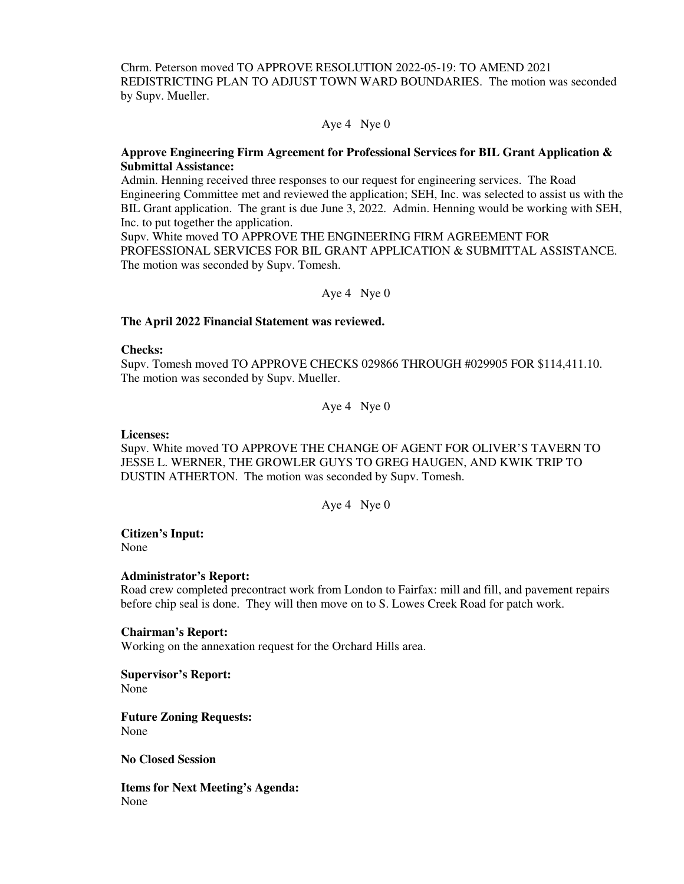Chrm. Peterson moved TO APPROVE RESOLUTION 2022-05-19: TO AMEND 2021 REDISTRICTING PLAN TO ADJUST TOWN WARD BOUNDARIES. The motion was seconded by Supv. Mueller.

Aye 4 Nye 0

## **Approve Engineering Firm Agreement for Professional Services for BIL Grant Application & Submittal Assistance:**

Admin. Henning received three responses to our request for engineering services. The Road Engineering Committee met and reviewed the application; SEH, Inc. was selected to assist us with the BIL Grant application. The grant is due June 3, 2022. Admin. Henning would be working with SEH, Inc. to put together the application.

Supv. White moved TO APPROVE THE ENGINEERING FIRM AGREEMENT FOR PROFESSIONAL SERVICES FOR BIL GRANT APPLICATION & SUBMITTAL ASSISTANCE. The motion was seconded by Supv. Tomesh.

Aye 4 Nye 0

#### **The April 2022 Financial Statement was reviewed.**

#### **Checks:**

Supv. Tomesh moved TO APPROVE CHECKS 029866 THROUGH #029905 FOR \$114,411.10. The motion was seconded by Supv. Mueller.

Aye 4 Nye 0

#### **Licenses:**

Supv. White moved TO APPROVE THE CHANGE OF AGENT FOR OLIVER'S TAVERN TO JESSE L. WERNER, THE GROWLER GUYS TO GREG HAUGEN, AND KWIK TRIP TO DUSTIN ATHERTON. The motion was seconded by Supv. Tomesh.

Aye 4 Nye 0

#### **Citizen's Input:**  None

#### **Administrator's Report:**

Road crew completed precontract work from London to Fairfax: mill and fill, and pavement repairs before chip seal is done. They will then move on to S. Lowes Creek Road for patch work.

#### **Chairman's Report:**

Working on the annexation request for the Orchard Hills area.

#### **Supervisor's Report:**  None

**Future Zoning Requests:**  None

### **No Closed Session**

**Items for Next Meeting's Agenda:**  None